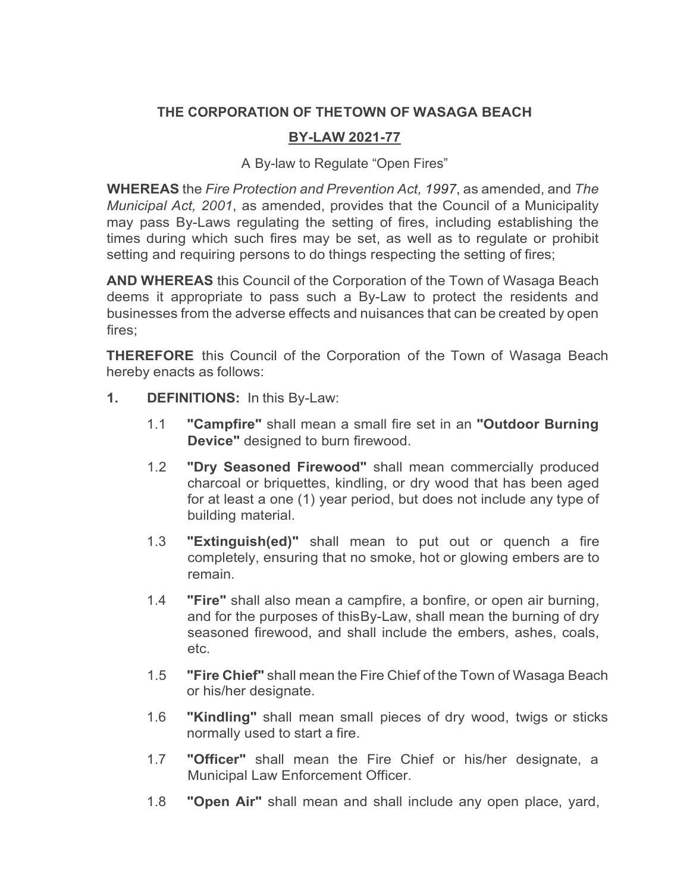## **THE CORPORATION OF THETOWN OF WASAGA BEACH**

## **BY-LAW 2021-77**

A By-law to Regulate "Open Fires"

**WHEREAS** the *Fire Protection and Prevention Act, 1997*, as amended, and *The Municipal Act, 2001*, as amended, provides that the Council of a Municipality may pass By-Laws regulating the setting of fires, including establishing the times during which such fires may be set, as well as to regulate or prohibit setting and requiring persons to do things respecting the setting of fires;

**AND WHEREAS** this Council of the Corporation of the Town of Wasaga Beach deems it appropriate to pass such a By-Law to protect the residents and businesses from the adverse effects and nuisances that can be created by open fires;

**THEREFORE** this Council of the Corporation of the Town of Wasaga Beach hereby enacts as follows:

- **1. DEFINITIONS:** In this By-Law:
	- 1.1 **"Campfire"** shall mean a small fire set in an **"Outdoor Burning Device"** designed to burn firewood.
	- 1.2 **"Dry Seasoned Firewood"** shall mean commercially produced charcoal or briquettes, kindling, or dry wood that has been aged for at least a one (1) year period, but does not include any type of building material.
	- 1.3 **"Extinguish(ed)"** shall mean to put out or quench a fire completely, ensuring that no smoke, hot or glowing embers are to remain.
	- 1.4 **"Fire"** shall also mean a campfire, a bonfire, or open air burning, and for the purposes of thisBy-Law, shall mean the burning of dry seasoned firewood, and shall include the embers, ashes, coals, etc.
	- 1.5 **"Fire Chief"** shall mean the Fire Chief of the Town of Wasaga Beach or his/her designate.
	- 1.6 **"Kindling"** shall mean small pieces of dry wood, twigs or sticks normally used to start a fire.
	- 1.7 **"Officer"** shall mean the Fire Chief or his/her designate, a Municipal Law Enforcement Officer.
	- 1.8 **"Open Air"** shall mean and shall include any open place, yard,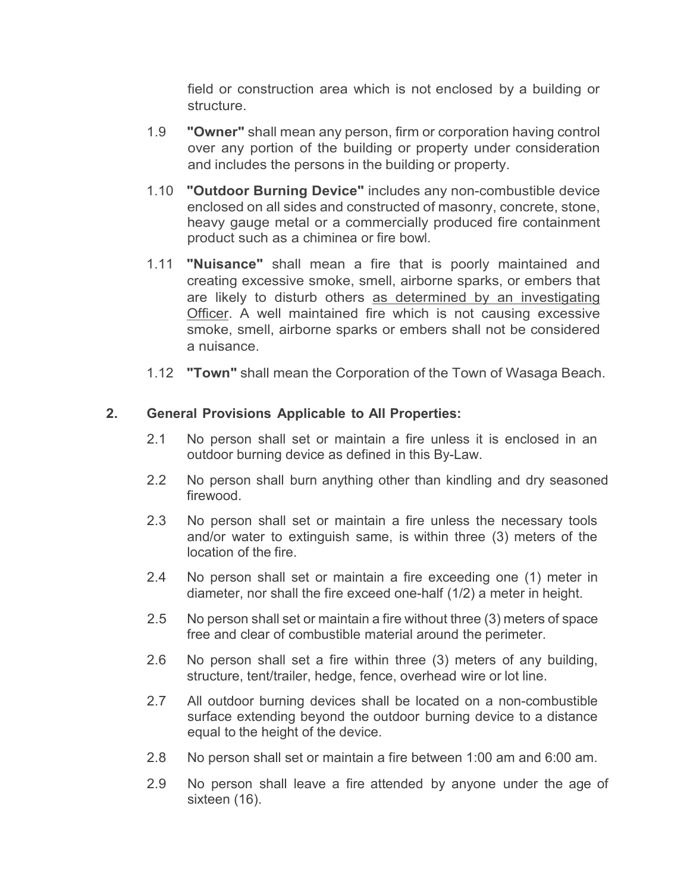field or construction area which is not enclosed by a building or structure.

- 1.9 **"Owner"** shall mean any person, firm or corporation having control over any portion of the building or property under consideration and includes the persons in the building or property.
- 1.10 **"Outdoor Burning Device"** includes any non-combustible device enclosed on all sides and constructed of masonry, concrete, stone, heavy gauge metal or a commercially produced fire containment product such as a chiminea or fire bowl.
- 1.11 **"Nuisance"** shall mean a fire that is poorly maintained and creating excessive smoke, smell, airborne sparks, or embers that are likely to disturb others as determined by an investigating Officer. A well maintained fire which is not causing excessive smoke, smell, airborne sparks or embers shall not be considered a nuisance.
- 1.12 **"Town"** shall mean the Corporation of the Town of Wasaga Beach.

## **2. General Provisions Applicable to All Properties:**

- 2.1 No person shall set or maintain a fire unless it is enclosed in an outdoor burning device as defined in this By-Law.
- 2.2 No person shall burn anything other than kindling and dry seasoned firewood.
- 2.3 No person shall set or maintain a fire unless the necessary tools and/or water to extinguish same, is within three (3) meters of the location of the fire.
- 2.4 No person shall set or maintain a fire exceeding one (1) meter in diameter, nor shall the fire exceed one-half (1/2) a meter in height.
- 2.5 No person shall set or maintain a fire without three (3) meters of space free and clear of combustible material around the perimeter.
- 2.6 No person shall set a fire within three (3) meters of any building, structure, tent/trailer, hedge, fence, overhead wire or lot line.
- 2.7 All outdoor burning devices shall be located on a non-combustible surface extending beyond the outdoor burning device to a distance equal to the height of the device.
- 2.8 No person shall set or maintain a fire between 1:00 am and 6:00 am.
- 2.9 No person shall leave a fire attended by anyone under the age of sixteen (16).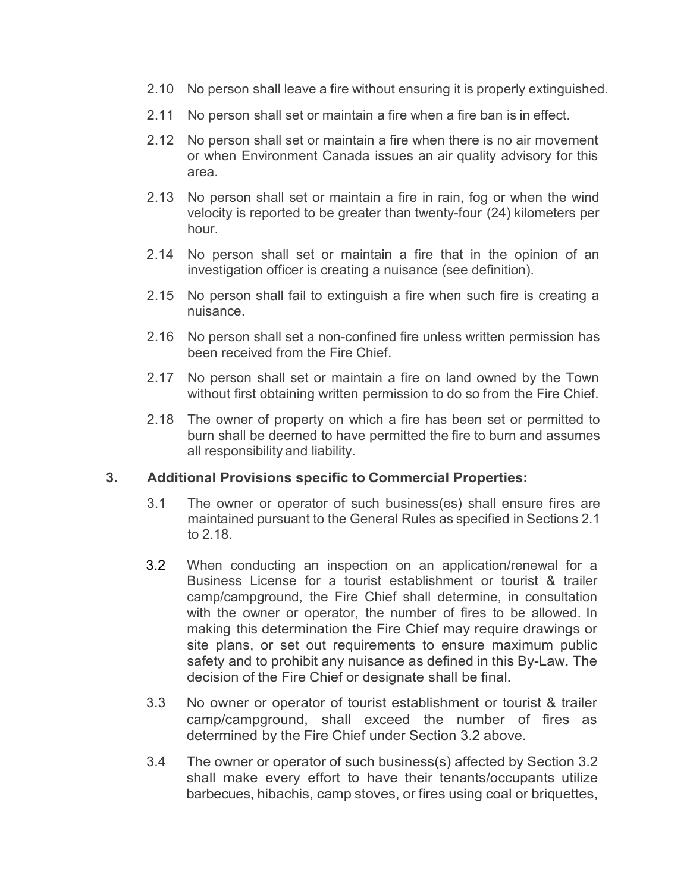- 2.10 No person shall leave a fire without ensuring it is properly extinguished.
- 2.11 No person shall set or maintain a fire when a fire ban is in effect.
- 2.12 No person shall set or maintain a fire when there is no air movement or when Environment Canada issues an air quality advisory for this area.
- 2.13 No person shall set or maintain a fire in rain, fog or when the wind velocity is reported to be greater than twenty-four (24) kilometers per hour.
- 2.14 No person shall set or maintain a fire that in the opinion of an investigation officer is creating a nuisance (see definition).
- 2.15 No person shall fail to extinguish a fire when such fire is creating a nuisance.
- 2.16 No person shall set a non-confined fire unless written permission has been received from the Fire Chief.
- 2.17 No person shall set or maintain a fire on land owned by the Town without first obtaining written permission to do so from the Fire Chief.
- 2.18 The owner of property on which a fire has been set or permitted to burn shall be deemed to have permitted the fire to burn and assumes all responsibility and liability.

#### **3. Additional Provisions specific to Commercial Properties:**

- 3.1 The owner or operator of such business(es) shall ensure fires are maintained pursuant to the General Rules as specified in Sections 2.1 to 2.18.
- 3.2 When conducting an inspection on an application/renewal for a Business License for a tourist establishment or tourist & trailer camp/campground, the Fire Chief shall determine, in consultation with the owner or operator, the number of fires to be allowed. In making this determination the Fire Chief may require drawings or site plans, or set out requirements to ensure maximum public safety and to prohibit any nuisance as defined in this By-Law. The decision of the Fire Chief or designate shall be final.
- 3.3 No owner or operator of tourist establishment or tourist & trailer camp/campground, shall exceed the number of fires as determined by the Fire Chief under Section 3.2 above.
- 3.4 The owner or operator of such business(s) affected by Section 3.2 shall make every effort to have their tenants/occupants utilize barbecues, hibachis, camp stoves, or fires using coal or briquettes,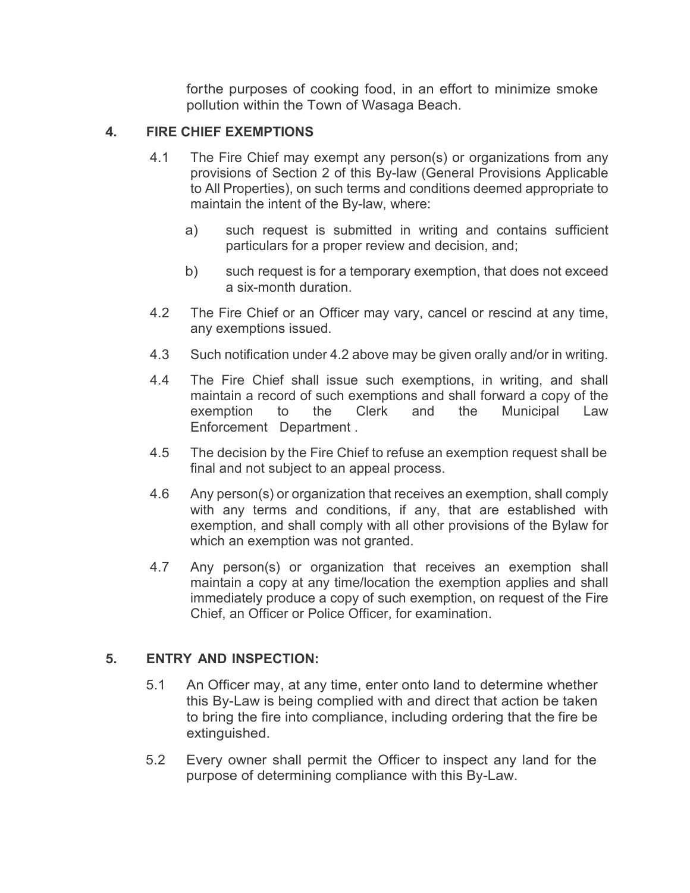forthe purposes of cooking food, in an effort to minimize smoke pollution within the Town of Wasaga Beach.

## **4. FIRE CHIEF EXEMPTIONS**

- 4.1 The Fire Chief may exempt any person(s) or organizations from any provisions of Section 2 of this By-law (General Provisions Applicable to All Properties), on such terms and conditions deemed appropriate to maintain the intent of the By-law, where:
	- a) such request is submitted in writing and contains sufficient particulars for a proper review and decision, and;
	- b) such request is for a temporary exemption, that does not exceed a six-month duration.
- 4.2 The Fire Chief or an Officer may vary, cancel or rescind at any time, any exemptions issued.
- 4.3 Such notification under 4.2 above may be given orally and/or in writing.
- 4.4 The Fire Chief shall issue such exemptions, in writing, and shall maintain a record of such exemptions and shall forward a copy of the exemption to the Clerk and the Municipal Law Enforcement Department .
- 4.5 The decision by the Fire Chief to refuse an exemption request shall be final and not subject to an appeal process.
- 4.6 Any person(s) or organization that receives an exemption, shall comply with any terms and conditions, if any, that are established with exemption, and shall comply with all other provisions of the Bylaw for which an exemption was not granted.
- 4.7 Any person(s) or organization that receives an exemption shall maintain a copy at any time/location the exemption applies and shall immediately produce a copy of such exemption, on request of the Fire Chief, an Officer or Police Officer, for examination.

#### **5. ENTRY AND INSPECTION:**

- 5.1 An Officer may, at any time, enter onto land to determine whether this By-Law is being complied with and direct that action be taken to bring the fire into compliance, including ordering that the fire be extinguished.
- 5.2 Every owner shall permit the Officer to inspect any land for the purpose of determining compliance with this By-Law.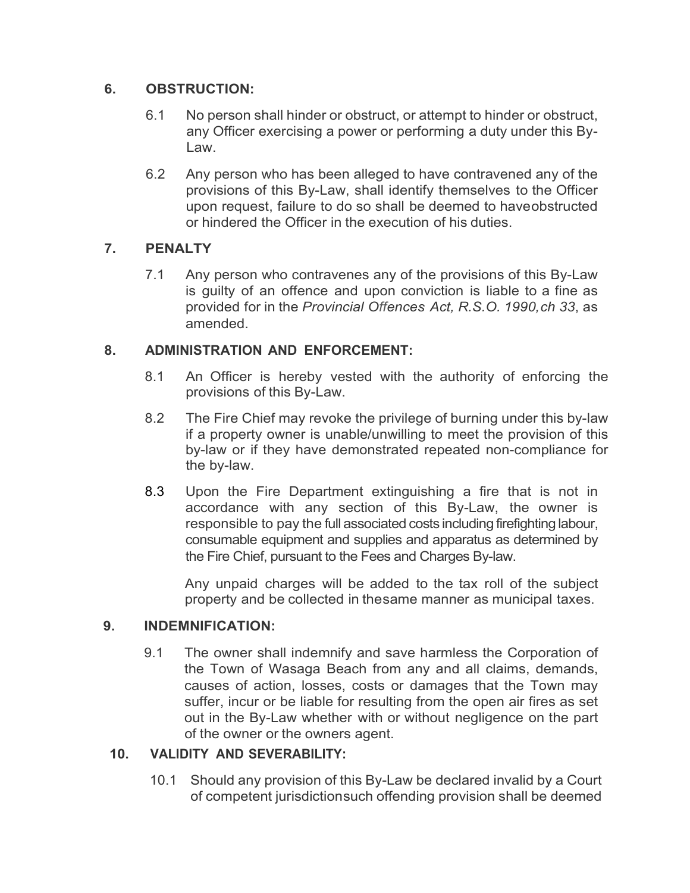## **6. OBSTRUCTION:**

- 6.1 No person shall hinder or obstruct, or attempt to hinder or obstruct, any Officer exercising a power or performing a duty under this By-Law.
- 6.2 Any person who has been alleged to have contravened any of the provisions of this By-Law, shall identify themselves to the Officer upon request, failure to do so shall be deemed to haveobstructed or hindered the Officer in the execution of his duties.

# **7. PENALTY**

7.1 Any person who contravenes any of the provisions of this By-Law is guilty of an offence and upon conviction is liable to a fine as provided for in the *Provincial Offences Act, R.S.O. 1990,ch 33*, as amended.

# **8. ADMINISTRATION AND ENFORCEMENT:**

- 8.1 An Officer is hereby vested with the authority of enforcing the provisions of this By-Law.
- 8.2 The Fire Chief may revoke the privilege of burning under this by-law if a property owner is unable/unwilling to meet the provision of this by-law or if they have demonstrated repeated non-compliance for the by-law.
- 8.3 Upon the Fire Department extinguishing a fire that is not in accordance with any section of this By-Law, the owner is responsible to pay the full associated costs including firefighting labour, consumable equipment and supplies and apparatus as determined by the Fire Chief, pursuant to the Fees and Charges By-law.

Any unpaid charges will be added to the tax roll of the subject property and be collected in thesame manner as municipal taxes.

# **9. INDEMNIFICATION:**

9.1 The owner shall indemnify and save harmless the Corporation of the Town of Wasaga Beach from any and all claims, demands, causes of action, losses, costs or damages that the Town may suffer, incur or be liable for resulting from the open air fires as set out in the By-Law whether with or without negligence on the part of the owner or the owners agent.

# **10. VALIDITY AND SEVERABILITY:**

10.1 Should any provision of this By-Law be declared invalid by a Court of competent jurisdictionsuch offending provision shall be deemed